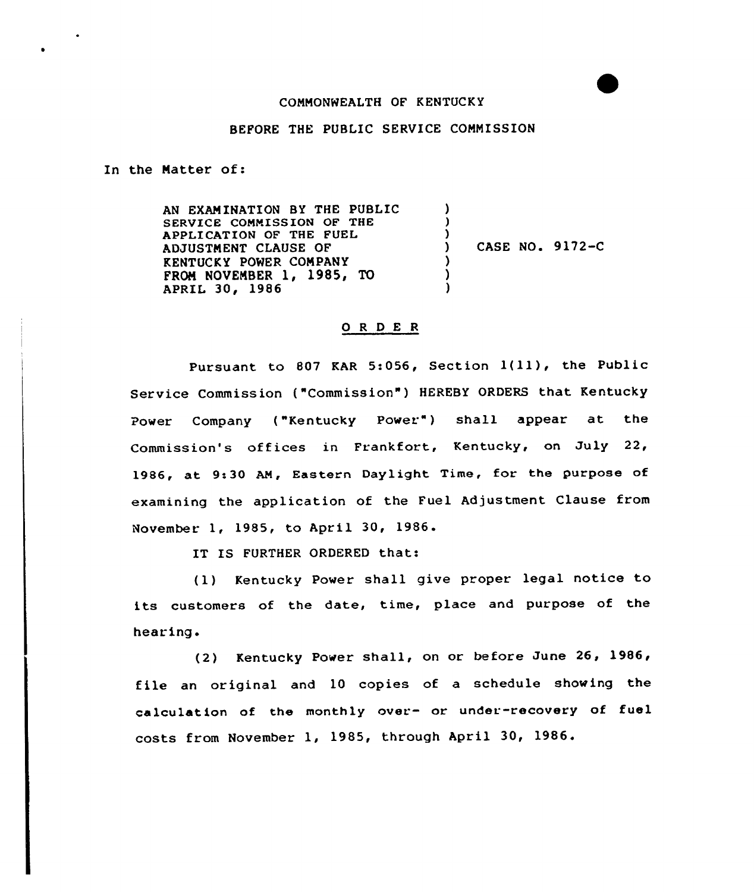## CONMONWEALTH OF KENTUCKY

## BEFORE THE PUBLIC SERVICE COMMISSION

In the Natter of:

AN EXAMINATION BY THE PUBLIC SERVICE CONNISSION OF THE APPLICATION OF THE FUEL ADJUSTNENT CLAUSE OF KENTUCKY POWER CONPANY FROM NOVEMBER 1, 1985, TO APRIL 30, 1986 ) ʻ )<br>) ) CASE NO. 9172-C ) ) )

## 0 <sup>R</sup> <sup>D</sup> E <sup>R</sup>

Pursuant to 807 KAR 5:056, Section 1(11), the Public Service Commission ("Commission" ) HEREBY ORDERS that Kentucky Power Company ("Kentucky Power") shall appear at the Commission's offices in Frankfort, Kentucky, on July 22, 1986, at 9:30 AN, Eastern Daylight Time, for the purpose of examining the application of the Fuel Adjustment Clause from November 1, 1985, to April 30, 1986.

IT IS FURTHER ORDERED that:

(1) Kentucky Power shall give proper legal notice to its customers of the date, time, place and purpose of the hearing.

(2) Kentucky Power shall, on or before June 26, 1986, file an original and 10 copies of a schedule showing the calculation of the monthly over- or under-recovery of fuel costs from November 1, 1985, through April 30, 1986.